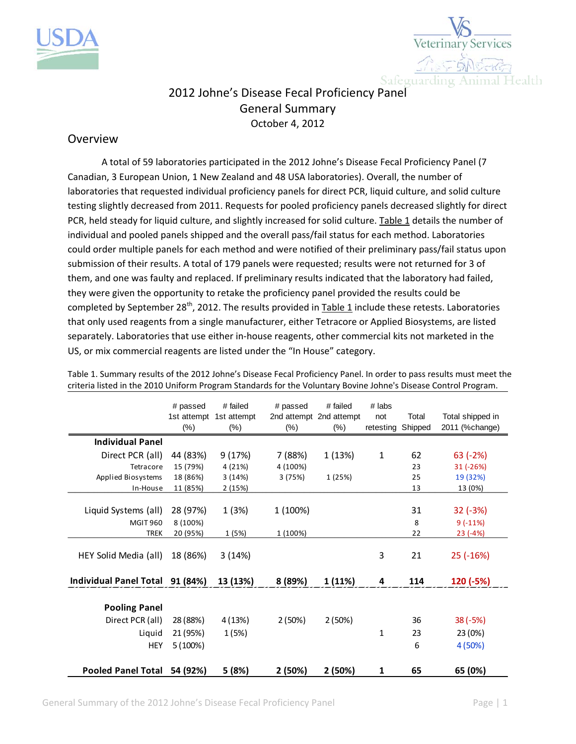



## 2012 Johne's Disease Fecal Proficiency Panel General Summary October 4, 2012

## Overview

A total of 59 laboratories participated in the 2012 Johne's Disease Fecal Proficiency Panel (7 Canadian, 3 European Union, 1 New Zealand and 48 USA laboratories). Overall, the number of laboratories that requested individual proficiency panels for direct PCR, liquid culture, and solid culture testing slightly decreased from 2011. Requests for pooled proficiency panels decreased slightly for direct PCR, held steady for liquid culture, and slightly increased for solid culture. Table 1 details the number of individual and pooled panels shipped and the overall pass/fail status for each method. Laboratories could order multiple panels for each method and were notified of their preliminary pass/fail status upon submission of their results. A total of 179 panels were requested; results were not returned for 3 of them, and one was faulty and replaced. If preliminary results indicated that the laboratory had failed, they were given the opportunity to retake the proficiency panel provided the results could be completed by September 28<sup>th</sup>, 2012. The results provided in Table 1 include these retests. Laboratories that only used reagents from a single manufacturer, either Tetracore or Applied Biosystems, are listed separately. Laboratories that use either in-house reagents, other commercial kits not marketed in the US, or mix commercial reagents are listed under the "In House" category.

|                           | # passed<br>1st attempt<br>$(\%)$ | # failed<br>1st attempt<br>$(\% )$ | # passed<br>$(\%)$ | # failed<br>2nd attempt 2nd attempt<br>$(\% )$ | # labs<br>not<br>retesting | Total<br>Shipped | Total shipped in<br>2011 (%change) |
|---------------------------|-----------------------------------|------------------------------------|--------------------|------------------------------------------------|----------------------------|------------------|------------------------------------|
| <b>Individual Panel</b>   |                                   |                                    |                    |                                                |                            |                  |                                    |
| Direct PCR (all)          | 44 (83%)                          | 9 (17%)                            | 7 (88%)            | 1 (13%)                                        | 1                          | 62               | $63$ (-2%)                         |
| Tetracore                 | 15 (79%)                          | 4 (21%)                            | 4 (100%)           |                                                |                            | 23               | 31 (-26%)                          |
| Applied Biosystems        | 18 (86%)                          | 3(14%)                             | 3 (75%)            | 1 (25%)                                        |                            | 25               | 19 (32%)                           |
| In-House                  | 11 (85%)                          | 2(15%)                             |                    |                                                |                            | 13               | 13 (0%)                            |
|                           |                                   |                                    |                    |                                                |                            |                  |                                    |
| Liquid Systems (all)      | 28 (97%)                          | 1 (3%)                             | 1 (100%)           |                                                |                            | 31               | $32(-3%)$                          |
| <b>MGIT 960</b>           | 8 (100%)                          |                                    |                    |                                                |                            | 8                | $9(-11%)$                          |
| <b>TREK</b>               | 20 (95%)                          | 1(5%)                              | 1 (100%)           |                                                |                            | 22               | $23(-4%)$                          |
| HEY Solid Media (all)     | 18 (86%)                          | 3(14%)                             |                    |                                                | 3                          | 21               | $25$ ( $-16\%$ )                   |
| Individual Panel Total    | 91 (84%)                          | 13 (13%)                           | 8 (89%)            | 1(11%)                                         | 4                          | 114              | 120 (-5%)                          |
| <b>Pooling Panel</b>      |                                   |                                    |                    |                                                |                            |                  |                                    |
|                           |                                   |                                    |                    |                                                |                            |                  |                                    |
| Direct PCR (all)          | 28 (88%)                          | 4 (13%)                            | 2(50%)             | 2(50%)                                         |                            | 36               | $38(-5%)$                          |
| Liquid                    | 21 (95%)                          | 1(5%)                              |                    |                                                | 1                          | 23               | 23 (0%)                            |
| <b>HEY</b>                | 5 (100%)                          |                                    |                    |                                                |                            | 6                | 4(50%)                             |
|                           |                                   |                                    |                    |                                                |                            |                  |                                    |
| <b>Pooled Panel Total</b> | 54 (92%)                          | 5 (8%)                             | 2 (50%)            | 2 (50%)                                        | 1                          | 65               | 65 (0%)                            |

Table 1. Summary results of the 2012 Johne's Disease Fecal Proficiency Panel. In order to pass results must meet the criteria listed in the 2010 Uniform Program Standards for the Voluntary Bovine Johne's Disease Control Program.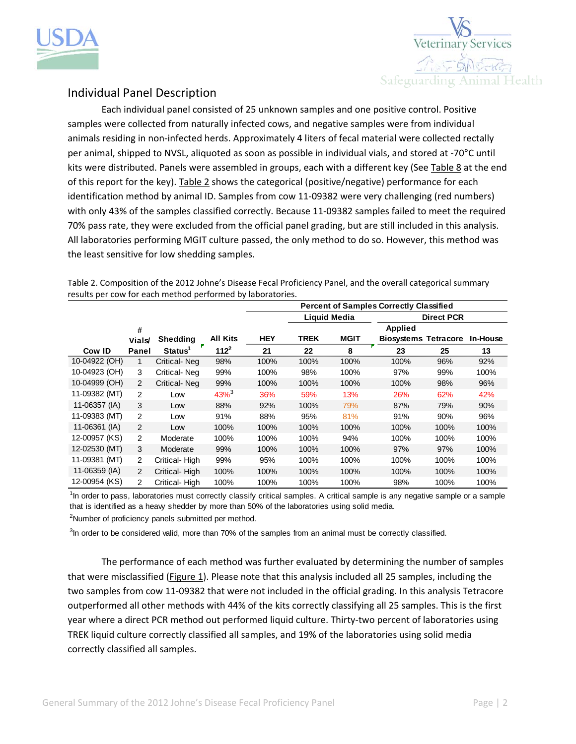



## Individual Panel Description

Each individual panel consisted of 25 unknown samples and one positive control. Positive samples were collected from naturally infected cows, and negative samples were from individual animals residing in non-infected herds. Approximately 4 liters of fecal material were collected rectally per animal, shipped to NVSL, aliquoted as soon as possible in individual vials, and stored at ‐70°C until kits were distributed. Panels were assembled in groups, each with a different key (See Table 8 at the end of this report for the key). Table 2 shows the categorical (positive/negative) performance for each identification method by animal ID. Samples from cow 11-09382 were very challenging (red numbers) with only 43% of the samples classified correctly. Because 11‐09382 samples failed to meet the required 70% pass rate, they were excluded from the official panel grading, but are still included in this analysis. All laboratories performing MGIT culture passed, the only method to do so. However, this method was the least sensitive for low shedding samples.

Table 2. Composition of the 2012 Johne's Disease Fecal Proficiency Panel, and the overall categorical summary results per cow for each method performed by laboratories.

|               |                |                     |                 | <b>Percent of Samples Correctly Classified</b> |             |             |                             |      |          |
|---------------|----------------|---------------------|-----------------|------------------------------------------------|-------------|-------------|-----------------------------|------|----------|
|               |                |                     |                 | <b>Liquid Media</b><br><b>Direct PCR</b>       |             |             |                             |      |          |
|               | #              |                     |                 |                                                |             |             | <b>Applied</b>              |      |          |
|               | <b>Vials</b>   | Shedding            | <b>All Kits</b> | <b>HEY</b>                                     | <b>TREK</b> | <b>MGIT</b> | <b>Biosystems Tetracore</b> |      | In-House |
| Cow ID        | Panel          | Status <sup>1</sup> | $112^2$         | 21                                             | 22          | 8           | 23                          | 25   | 13       |
| 10-04922 (OH) | 1              | Critical-Neg        | 98%             | 100%                                           | 100%        | 100%        | 100%                        | 96%  | 92%      |
| 10-04923 (OH) | 3              | Critical-Neq        | 99%             | 100%                                           | 98%         | 100%        | 97%                         | 99%  | 100%     |
| 10-04999 (OH) | 2              | Critical-Neg        | 99%             | 100%                                           | 100%        | 100%        | 100%                        | 98%  | 96%      |
| 11-09382 (MT) | 2              | Low                 | $43\%^{3}$      | 36%                                            | 59%         | 13%         | 26%                         | 62%  | 42%      |
| 11-06357 (IA) | 3              | Low                 | 88%             | 92%                                            | 100%        | 79%         | 87%                         | 79%  | 90%      |
| 11-09383 (MT) | $\overline{2}$ | Low                 | 91%             | 88%                                            | 95%         | 81%         | 91%                         | 90%  | 96%      |
| 11-06361 (IA) | 2              | Low                 | 100%            | 100%                                           | 100%        | 100%        | 100%                        | 100% | 100%     |
| 12-00957 (KS) | $\overline{2}$ | Moderate            | 100%            | 100%                                           | 100%        | 94%         | 100%                        | 100% | 100%     |
| 12-02530 (MT) | 3              | Moderate            | 99%             | 100%                                           | 100%        | 100%        | 97%                         | 97%  | 100%     |
| 11-09381 (MT) | 2              | Critical-High       | 99%             | 95%                                            | 100%        | 100%        | 100%                        | 100% | 100%     |
| 11-06359 (IA) | 2              | Critical-High       | 100%            | 100%                                           | 100%        | 100%        | 100%                        | 100% | 100%     |
| 12-00954 (KS) | 2              | Critical-High       | 100%            | 100%                                           | 100%        | 100%        | 98%                         | 100% | 100%     |

<sup>1</sup>In order to pass, laboratories must correctly classify critical samples. A critical sample is any negative sample or a sample that is identified as a heavy shedder by more than 50% of the laboratories using solid media.

<sup>2</sup>Number of proficiency panels submitted per method.

<sup>3</sup>In order to be considered valid, more than 70% of the samples from an animal must be correctly classified.

The performance of each method was further evaluated by determining the number of samples that were misclassified (Figure 1). Please note that this analysis included all 25 samples, including the two samples from cow 11‐09382 that were not included in the official grading. In this analysis Tetracore outperformed all other methods with 44% of the kits correctly classifying all 25 samples. This is the first year where a direct PCR method out performed liquid culture. Thirty-two percent of laboratories using TREK liquid culture correctly classified all samples, and 19% of the laboratories using solid media correctly classified all samples.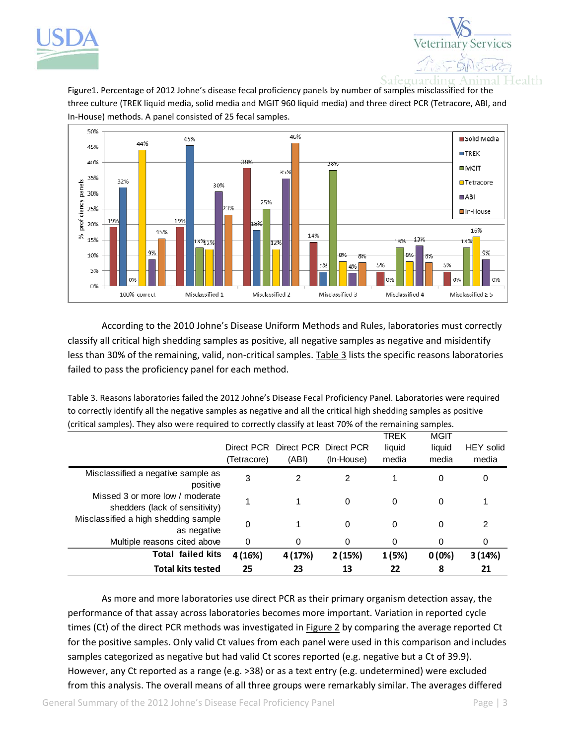



Figure1. Percentage of 2012 Johne's disease fecal proficiency panels by number of samples misclassified for the three culture (TREK liquid media, solid media and MGIT 960 liquid media) and three direct PCR (Tetracore, ABI, and In‐House) methods. A panel consisted of 25 fecal samples.



According to the 2010 Johne's Disease Uniform Methods and Rules, laboratories must correctly classify all critical high shedding samples as positive, all negative samples as negative and misidentify less than 30% of the remaining, valid, non-critical samples. Table 3 lists the specific reasons laboratories failed to pass the proficiency panel for each method.

Table 3. Reasons laboratories failed the 2012 Johne's Disease Fecal Proficiency Panel. Laboratories were required to correctly identify all the negative samples as negative and all the critical high shedding samples as positive (critical samples). They also were required to correctly classify at least 70% of the remaining samples.

| <b>Total kits tested</b>                                          | 25          | 23                                        | 13         | 22                      | 8                       | 21                        |
|-------------------------------------------------------------------|-------------|-------------------------------------------|------------|-------------------------|-------------------------|---------------------------|
| <b>Total failed kits</b>                                          | 4 (16%)     | 4 (17%)                                   | 2(15%)     | 1(5%)                   | 0(0%)                   | 3(14%)                    |
| Multiple reasons cited above                                      | 0           | 0                                         | $\Omega$   | $\Omega$                | 0                       | 0                         |
| Misclassified a high shedding sample<br>as negative               | 0           |                                           | $\Omega$   | $\Omega$                | 0                       | 2                         |
| Missed 3 or more low / moderate<br>shedders (lack of sensitivity) |             |                                           | $\Omega$   | $\Omega$                | 0                       |                           |
| Misclassified a negative sample as<br>positive                    | 3           | 2                                         | 2          | 1                       | 0                       | 0                         |
|                                                                   | (Tetracore) | Direct PCR Direct PCR Direct PCR<br>(ABI) | (In-House) | TREK<br>liquid<br>media | MGIT<br>liquid<br>media | <b>HEY</b> solid<br>media |
|                                                                   |             |                                           |            |                         |                         |                           |

As more and more laboratories use direct PCR as their primary organism detection assay, the performance of that assay across laboratories becomes more important. Variation in reported cycle times (Ct) of the direct PCR methods was investigated in Figure 2 by comparing the average reported Ct for the positive samples. Only valid Ct values from each panel were used in this comparison and includes samples categorized as negative but had valid Ct scores reported (e.g. negative but a Ct of 39.9). However, any Ct reported as a range (e.g. >38) or as a text entry (e.g. undetermined) were excluded from this analysis. The overall means of all three groups were remarkably similar. The averages differed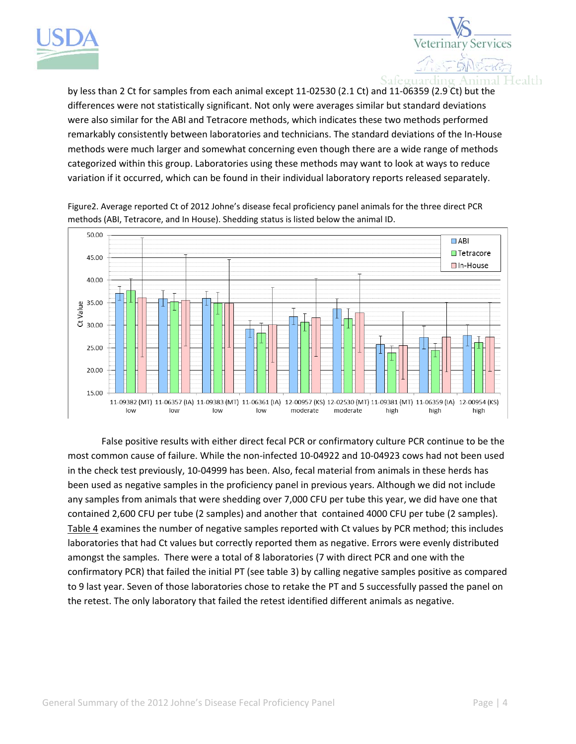



by less than 2 Ct for samples from each animal except 11‐02530 (2.1 Ct) and 11‐06359 (2.9 Ct) but the differences were not statistically significant. Not only were averages similar but standard deviations were also similar for the ABI and Tetracore methods, which indicates these two methods performed remarkably consistently between laboratories and technicians. The standard deviations of the In‐House methods were much larger and somewhat concerning even though there are a wide range of methods categorized within this group. Laboratories using these methods may want to look at ways to reduce variation if it occurred, which can be found in their individual laboratory reports released separately.



Figure2. Average reported Ct of 2012 Johne's disease fecal proficiency panel animals for the three direct PCR methods (ABI, Tetracore, and In House). Shedding status is listed below the animal ID.

False positive results with either direct fecal PCR or confirmatory culture PCR continue to be the most common cause of failure. While the non‐infected 10‐04922 and 10‐04923 cows had not been used in the check test previously, 10‐04999 has been. Also, fecal material from animals in these herds has been used as negative samples in the proficiency panel in previous years. Although we did not include any samples from animals that were shedding over 7,000 CFU per tube this year, we did have one that contained 2,600 CFU per tube (2 samples) and another that contained 4000 CFU per tube (2 samples). Table 4 examines the number of negative samples reported with Ct values by PCR method; this includes laboratories that had Ct values but correctly reported them as negative. Errors were evenly distributed amongst the samples. There were a total of 8 laboratories (7 with direct PCR and one with the confirmatory PCR) that failed the initial PT (see table 3) by calling negative samples positive as compared to 9 last year. Seven of those laboratories chose to retake the PT and 5 successfully passed the panel on the retest. The only laboratory that failed the retest identified different animals as negative.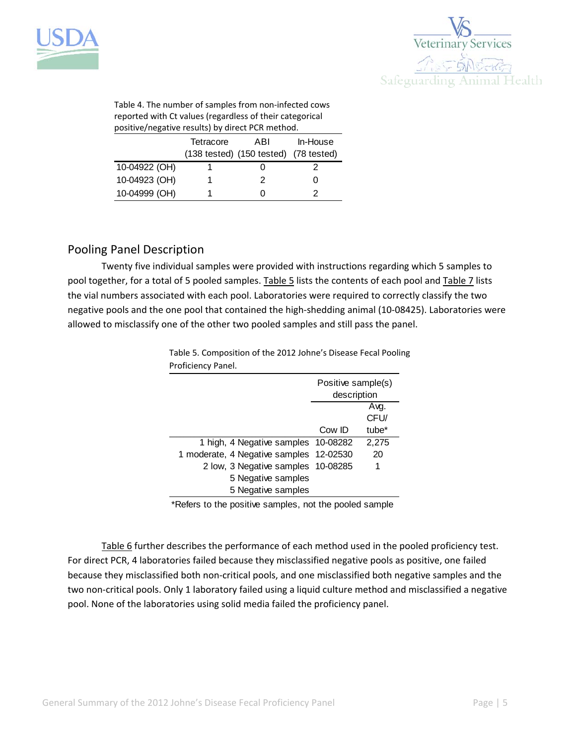



Table 4. The number of samples from non‐infected cows reported with Ct values (regardless of their categorical positive/negative results) by direct PCR method.

|               | Tetracore | ABI<br>(138 tested) (150 tested) (78 tested) | In-House |
|---------------|-----------|----------------------------------------------|----------|
| 10-04922 (OH) |           |                                              |          |
| 10-04923 (OH) |           |                                              |          |
| 10-04999 (OH) |           |                                              |          |

## Pooling Panel Description

Twenty five individual samples were provided with instructions regarding which 5 samples to pool together, for a total of 5 pooled samples. Table 5 lists the contents of each pool and Table 7 lists the vial numbers associated with each pool. Laboratories were required to correctly classify the two negative pools and the one pool that contained the high‐shedding animal (10‐08425). Laboratories were allowed to misclassify one of the other two pooled samples and still pass the panel.

> Table 5. Composition of the 2012 Johne's Disease Fecal Pooling Proficiency Panel.

|                                         | Positive sample(s)<br>description |       |
|-----------------------------------------|-----------------------------------|-------|
|                                         |                                   | Avg.  |
|                                         |                                   |       |
|                                         |                                   | CFU/  |
|                                         | Cow ID                            | tube* |
| 1 high, 4 Negative samples 10-08282     |                                   | 2,275 |
| 1 moderate, 4 Negative samples 12-02530 |                                   | 20    |
| 2 low, 3 Negative samples 10-08285      |                                   |       |
| 5 Negative samples                      |                                   |       |
| 5 Negative samples                      |                                   |       |

\*Refers to the positive samples, not the pooled sample

Table 6 further describes the performance of each method used in the pooled proficiency test. For direct PCR, 4 laboratories failed because they misclassified negative pools as positive, one failed because they misclassified both non‐critical pools, and one misclassified both negative samples and the two non‐critical pools. Only 1 laboratory failed using a liquid culture method and misclassified a negative pool. None of the laboratories using solid media failed the proficiency panel.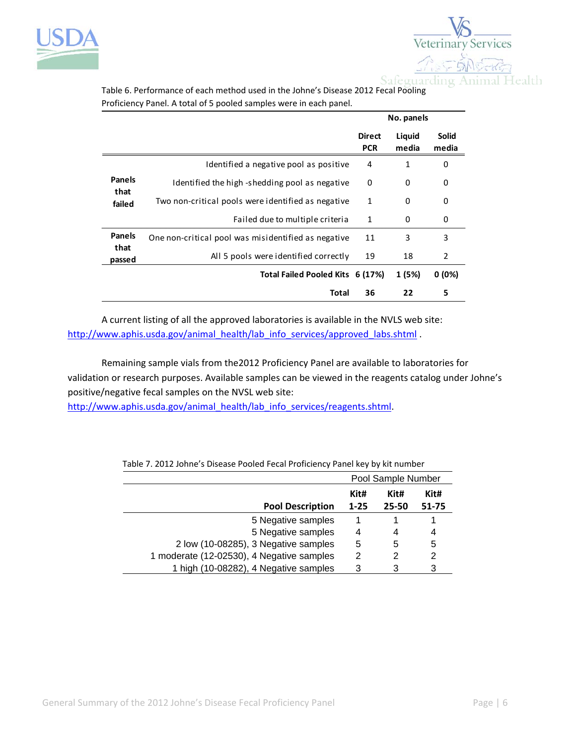



|                       |                                                     |                             | No. panels      |                       |
|-----------------------|-----------------------------------------------------|-----------------------------|-----------------|-----------------------|
|                       |                                                     | <b>Direct</b><br><b>PCR</b> | Liquid<br>media | <b>Solid</b><br>media |
|                       | Identified a negative pool as positive              | 4                           | 1               | 0                     |
| <b>Panels</b><br>that | Identified the high-shedding pool as negative       |                             | 0               | 0                     |
| failed                | Two non-critical pools were identified as negative  | $\mathbf{1}$                | 0               | 0                     |
|                       | Failed due to multiple criteria                     | $\mathbf{1}$                | 0               | 0                     |
| <b>Panels</b>         | One non-critical pool was misidentified as negative | 11                          | 3               | 3                     |
| that<br>passed        | All 5 pools were identified correctly               | 19                          | 18              | $\overline{2}$        |
|                       | Total Failed Pooled Kits 6 (17%)                    |                             | 1 (5%)          | 0(0%)                 |
|                       | Total                                               | 36                          | 22              | 5                     |

Table 6. Performance of each method used in the Johne's Disease 2012 Fecal Pooling Proficiency Panel. A total of 5 pooled samples were in each panel.

A current listing of all the approved laboratories is available in the NVLS web site: http://www.aphis.usda.gov/animal\_health/lab\_info\_services/approved\_labs.shtml .

Remaining sample vials from the2012 Proficiency Panel are available to laboratories for validation or research purposes. Available samples can be viewed in the reagents catalog under Johne's positive/negative fecal samples on the NVSL web site:

http://www.aphis.usda.gov/animal\_health/lab\_info\_services/reagents.shtml.

|                                           | Pool Sample Number |       |       |
|-------------------------------------------|--------------------|-------|-------|
|                                           | Kit#<br>Kit#       |       | Kit#  |
| <b>Pool Description</b>                   | $1 - 25$           | 25-50 | 51-75 |
| 5 Negative samples                        |                    |       |       |
| 5 Negative samples                        | 4                  | 4     | 4     |
| 2 low (10-08285), 3 Negative samples      | 5                  | 5     | 5     |
| 1 moderate (12-02530), 4 Negative samples | 2                  | 2     | 2     |
| 1 high (10-08282), 4 Negative samples     | 3                  | 3     | 3     |

Table 7. 2012 Johne's Disease Pooled Fecal Proficiency Panel key by kit number